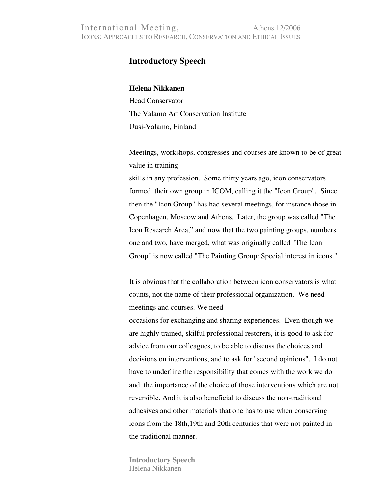## **Introductory Speech**

## **Helena Nikkanen**

Head Conservator The Valamo Art Conservation Institute Uusi-Valamo, Finland

Meetings, workshops, congresses and courses are known to be of great value in training

skills in any profession. Some thirty years ago, icon conservators formed their own group in ICOM, calling it the "Icon Group". Since then the "Icon Group" has had several meetings, for instance those in Copenhagen, Moscow and Athens. Later, the group was called "The Icon Research Area," and now that the two painting groups, numbers one and two, have merged, what was originally called "The Icon Group" is now called "The Painting Group: Special interest in icons."

It is obvious that the collaboration between icon conservators is what counts, not the name of their professional organization. We need meetings and courses. We need

occasions for exchanging and sharing experiences. Even though we are highly trained, skilful professional restorers, it is good to ask for advice from our colleagues, to be able to discuss the choices and decisions on interventions, and to ask for "second opinions". I do not have to underline the responsibility that comes with the work we do and the importance of the choice of those interventions which are not reversible. And it is also beneficial to discuss the non-traditional adhesives and other materials that one has to use when conserving icons from the 18th,19th and 20th centuries that were not painted in the traditional manner.

**Introductory Speech**  Helena Nikkanen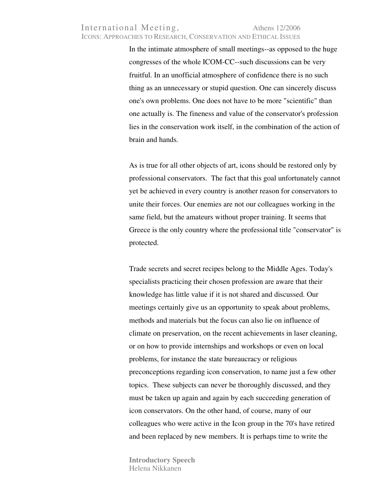## International Meeting, Athens 12/2006 ICONS: APPROACHES TO RESEARCH, CONSERVATION AND ETHICAL ISSUES

In the intimate atmosphere of small meetings--as opposed to the huge congresses of the whole ICOM-CC--such discussions can be very fruitful. In an unofficial atmosphere of confidence there is no such thing as an unnecessary or stupid question. One can sincerely discuss one's own problems. One does not have to be more "scientific" than one actually is. The fineness and value of the conservator's profession lies in the conservation work itself, in the combination of the action of brain and hands.

As is true for all other objects of art, icons should be restored only by professional conservators. The fact that this goal unfortunately cannot yet be achieved in every country is another reason for conservators to unite their forces. Our enemies are not our colleagues working in the same field, but the amateurs without proper training. It seems that Greece is the only country where the professional title "conservator" is protected.

Trade secrets and secret recipes belong to the Middle Ages. Today's specialists practicing their chosen profession are aware that their knowledge has little value if it is not shared and discussed. Our meetings certainly give us an opportunity to speak about problems, methods and materials but the focus can also lie on influence of climate on preservation, on the recent achievements in laser cleaning, or on how to provide internships and workshops or even on local problems, for instance the state bureaucracy or religious preconceptions regarding icon conservation, to name just a few other topics. These subjects can never be thoroughly discussed, and they must be taken up again and again by each succeeding generation of icon conservators. On the other hand, of course, many of our colleagues who were active in the Icon group in the 70's have retired and been replaced by new members. It is perhaps time to write the

**Introductory Speech**  Helena Nikkanen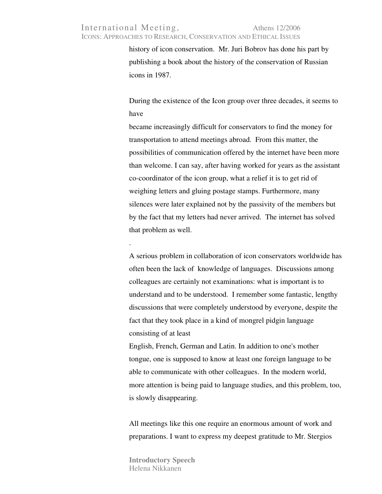## International Meeting, Athens 12/2006 ICONS: APPROACHES TO RESEARCH, CONSERVATION AND ETHICAL ISSUES

history of icon conservation. Mr. Juri Bobrov has done his part by publishing a book about the history of the conservation of Russian icons in 1987.

During the existence of the Icon group over three decades, it seems to have

became increasingly difficult for conservators to find the money for transportation to attend meetings abroad. From this matter, the possibilities of communication offered by the internet have been more than welcome. I can say, after having worked for years as the assistant co-coordinator of the icon group, what a relief it is to get rid of weighing letters and gluing postage stamps. Furthermore, many silences were later explained not by the passivity of the members but by the fact that my letters had never arrived. The internet has solved that problem as well.

A serious problem in collaboration of icon conservators worldwide has often been the lack of knowledge of languages. Discussions among colleagues are certainly not examinations: what is important is to understand and to be understood. I remember some fantastic, lengthy discussions that were completely understood by everyone, despite the fact that they took place in a kind of mongrel pidgin language consisting of at least

English, French, German and Latin. In addition to one's mother tongue, one is supposed to know at least one foreign language to be able to communicate with other colleagues. In the modern world, more attention is being paid to language studies, and this problem, too, is slowly disappearing.

All meetings like this one require an enormous amount of work and preparations. I want to express my deepest gratitude to Mr. Stergios

**Introductory Speech**  Helena Nikkanen

.